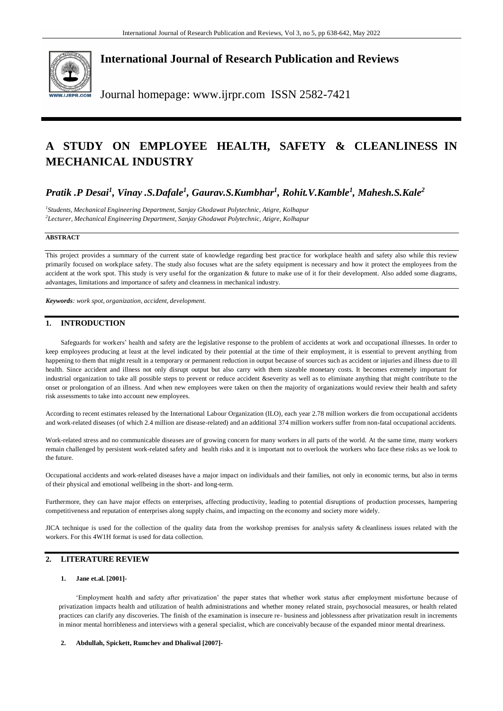

**International Journal of Research Publication and Reviews**

Journal homepage: www.ijrpr.com ISSN 2582-7421

# **A STUDY ON EMPLOYEE HEALTH, SAFETY & CLEANLINESS IN MECHANICAL INDUSTRY**

# *Pratik .P Desai<sup>1</sup> , Vinay .S.Dafale<sup>1</sup> , Gaurav.S.Kumbhar<sup>1</sup> , Rohit.V.Kamble<sup>1</sup> , Mahesh.S.Kale<sup>2</sup>*

*1 Students, Mechanical Engineering Department, Sanjay Ghodawat Polytechnic, Atigre, Kolhapur <sup>2</sup>Lecturer, Mechanical Engineering Department, Sanjay Ghodawat Polytechnic, Atigre, Kolhapur*

# **ABSTRACT**

This project provides a summary of the current state of knowledge regarding best practice for workplace health and safety also while this review primarily focused on workplace safety. The study also focuses what are the safety equipment is necessary and how it protect the employees from the accident at the work spot. This study is very useful for the organization & future to make use of it for their development. Also added some diagrams, advantages, limitations and importance of safety and cleanness in mechanical industry.

*Keywords: work spot, organization, accident, development.*

# **1. INTRODUCTION**

Safeguards for workers' health and safety are the legislative response to the problem of accidents at work and occupational illnesses. In order to keep employees producing at least at the level indicated by their potential at the time of their employment, it is essential to prevent anything from happening to them that might result in a temporary or permanent reduction in output because of sources such as accident or injuries and illness due to ill health. Since accident and illness not only disrupt output but also carry with them sizeable monetary costs. It becomes extremely important for industrial organization to take all possible steps to prevent or reduce accident &severity as well as to eliminate anything that might contribute to the onset or prolongation of an illness. And when new employees were taken on then the majority of organizations would review their health and safety risk assessments to take into account new employees.

According to recent estimates released by the International Labour Organization (ILO), each year 2.78 million workers die from occupational accidents and work-related diseases (of which 2.4 million are disease-related) and an additional 374 million workers suffer from non-fatal occupational accidents.

Work-related stress and no communicable diseases are of growing concern for many workers in all parts of the world. At the same time, many workers remain challenged by persistent work-related safety and health risks and it is important not to overlook the workers who face these risks as we look to the future.

Occupational accidents and work-related diseases have a major impact on individuals and their families, not only in economic terms, but also in terms of their physical and emotional wellbeing in the short- and long-term.

Furthermore, they can have major effects on enterprises, affecting productivity, leading to potential disruptions of production processes, hampering competitiveness and reputation of enterprises along supply chains, and impacting on the economy and society more widely.

JICA technique is used for the collection of the quality data from the workshop premises for analysis safety & cleanliness issues related with the workers. For this 4W1H format is used for data collection.

# **2. LITERATURE REVIEW**

# **1. Jane et.al. [2001]-**

'Employment health and safety after privatization' the paper states that whether work status after employment misfortune because of privatization impacts health and utilization of health administrations and whether money related strain, psychosocial measures, or health related practices can clarify any discoveries. The finish of the examination is insecure re- business and joblessness after privatization result in increments in minor mental horribleness and interviews with a general specialist, which are conceivably because of the expanded minor mental dreariness.

### **2. Abdullah, Spickett, Rumchev and Dhaliwal [2007]-**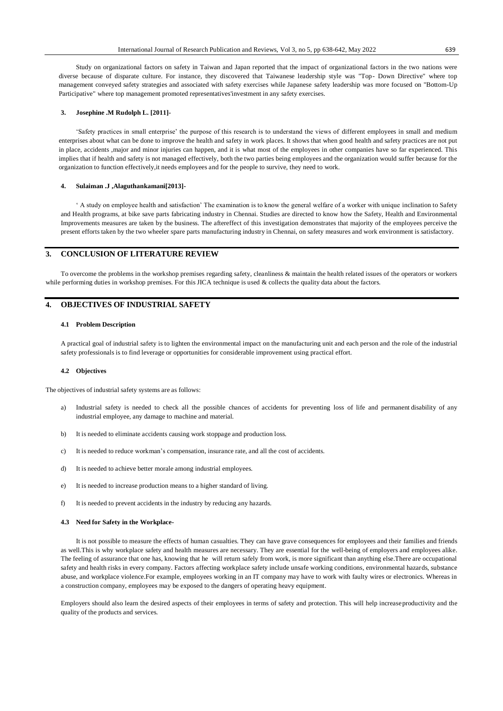Study on organizational factors on safety in Taiwan and Japan reported that the impact of organizational factors in the two nations were diverse because of disparate culture. For instance, they discovered that Taiwanese leadership style was "Top- Down Directive" where top management conveyed safety strategies and associated with safety exercises while Japanese safety leadership was more focused on "Bottom-Up Participative" where top management promoted representatives'investment in any safety exercises.

### **3. Josephine .M Rudolph L. [2011]-**

'Safety practices in small enterprise' the purpose of this research is to understand the views of different employees in small and medium enterprises about what can be done to improve the health and safety in work places. It shows that when good health and safety practices are not put in place, accidents ,major and minor injuries can happen, and it is what most of the employees in other companies have so far experienced. This implies that if health and safety is not managed effectively, both the two parties being employees and the organization would suffer because for the organization to function effectively,it needs employees and for the people to survive, they need to work.

### **4. Sulaiman .J ,Alaguthankamani[2013]-**

' A study on employee health and satisfaction' The examination is to know the general welfare of a worker with unique inclination to Safety and Health programs, at bike save parts fabricating industry in Chennai. Studies are directed to know how the Safety, Health and Environmental Improvements measures are taken by the business. The aftereffect of this investigation demonstrates that majority of the employees perceive the present efforts taken by the two wheeler spare parts manufacturing industry in Chennai, on safety measures and work environment is satisfactory.

# **3. CONCLUSION OF LITERATURE REVIEW**

To overcome the problems in the workshop premises regarding safety, cleanliness & maintain the health related issues of the operators or workers while performing duties in workshop premises. For this JICA technique is used & collects the quality data about the factors.

### **4. OBJECTIVES OF INDUSTRIAL SAFETY**

### **4.1 Problem Description**

A practical goal of industrial safety is to lighten the environmental impact on the manufacturing unit and each person and the role of the industrial safety professionals is to find leverage or opportunities for considerable improvement using practical effort.

#### **4.2 Objectives**

The objectives of industrial safety systems are as follows:

- a) Industrial safety is needed to check all the possible chances of accidents for preventing loss of life and permanent disability of any industrial employee, any damage to machine and material.
- b) It is needed to eliminate accidents causing work stoppage and production loss.
- c) It is needed to reduce workman's compensation, insurance rate, and all the cost of accidents.
- d) It is needed to achieve better morale among industrial employees.
- e) It is needed to increase production means to a higher standard of living.
- f) It is needed to prevent accidents in the industry by reducing any hazards.

### **4.3 Need for Safety in the Workplace-**

It is not possible to measure the effects of human casualties. They can have grave consequences for employees and their families and friends as well.This is why workplace safety and health measures are necessary. They are essential for the well-being of employers and employees alike. The feeling of assurance that one has, knowing that he will return safely from work, is more significant than anything else.There are occupational safety and health risks in every company. Factors affecting workplace safety include unsafe working conditions, environmental hazards, substance abuse, and workplace violence.For example, employees working in an IT company may have to work with faulty wires or electronics. Whereas in a construction company, employees may be exposed to the dangers of operating heavy equipment.

Employers should also learn the desired aspects of their employees in terms of safety and protection. This will help increaseproductivity and the quality of the products and services.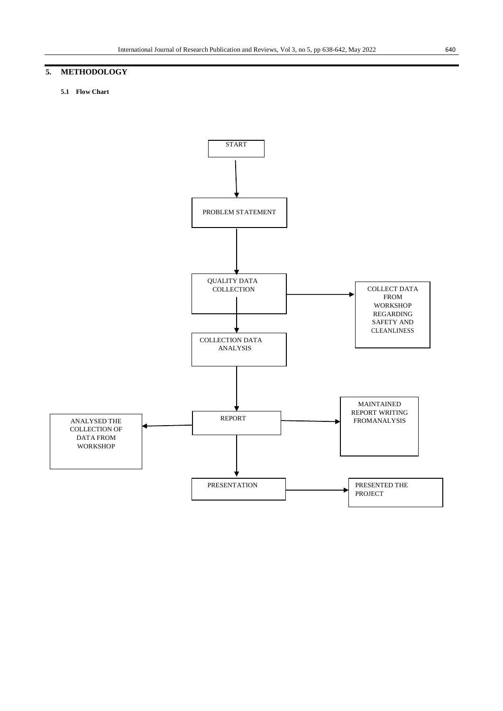# **5. METHODOLOGY**

## **5.1 Flow Chart**

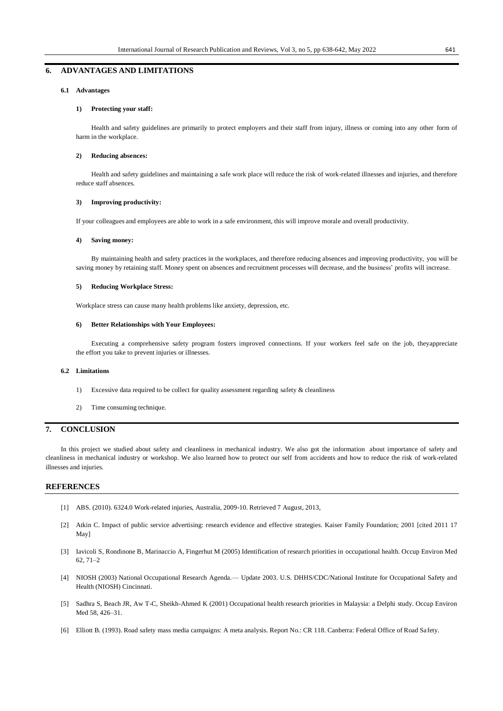# **6. ADVANTAGES AND LIMITATIONS**

### **6.1 Advantages**

### **1) Protecting your staff:**

Health and safety guidelines are primarily to protect employers and their staff from injury, illness or coming into any other form of harm in the workplace.

### **2) Reducing absences:**

Health and safety guidelines and maintaining a safe work place will reduce the risk of work-related illnesses and injuries, and therefore reduce staff absences.

### **3) Improving productivity:**

If your colleagues and employees are able to work in a safe environment, this will improve morale and overall productivity.

### **4) Saving money:**

By maintaining health and safety practices in the workplaces, and therefore reducing absences and improving productivity, you will be saving money by retaining staff. Money spent on absences and recruitment processes will decrease, and the business' profits will increase.

### **5) Reducing Workplace Stress:**

[Workplace](https://blog.vantagefit.io/workplace-stress/) stress can cause many health problems like anxiety, depression, etc.

### **6) Better Relationships with Your Employees:**

Executing a comprehensive safety program fosters improved connections. If your workers feel safe on the job, theyappreciate the effort you take to prevent injuries or illnesses.

### **6.2 Limitations**

- 1) Excessive data required to be collect for quality assessment regarding safety & cleanliness
- 2) Time consuming technique.

# **7. CONCLUSION**

In this project we studied about safety and cleanliness in mechanical industry. We also got the information about importance of safety and cleanliness in mechanical industry or workshop. We also learned how to protect our self from accidents and how to reduce the risk of work-related illnesses and injuries.

# **REFERENCES**

- [1] ABS. (2010). 6324.0 Work-related injuries, Australia, 2009-10. Retrieved 7 August, 2013,
- [2] Atkin C. Impact of public service advertising: research evidence and effective strategies. Kaiser Family Foundation; 2001 [cited 2011 17 May]
- [3] Iavicoli S, Rondinone B, Marinaccio A, Fingerhut M (2005) Identification of research priorities in occupational health. Occup Environ Med 62, 71–2
- [4] NIOSH (2003) National Occupational Research Agenda.— Update 2003. U.S. DHHS/CDC/National Institute for Occupational Safety and Health (NIOSH) Cincinnati.
- [5] Sadhra S, Beach JR, Aw T-C, Sheikh-Ahmed K (2001) Occupational health research priorities in Malaysia: a Delphi study. Occup Environ Med 58, 426–31.
- [6] Elliott B. (1993). Road safety mass media campaigns: A meta analysis. Report No.: CR 118. Canberra: Federal Office of Road Sa fety.